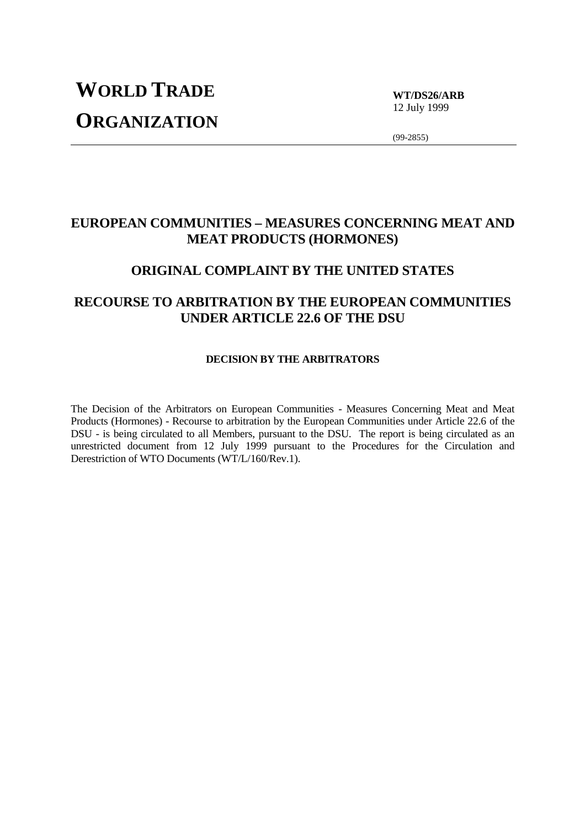# **WORLD TRADE ORGANIZATION**

**WT/DS26/ARB** 12 July 1999

(99-2855)

## **EUROPEAN COMMUNITIES – MEASURES CONCERNING MEAT AND MEAT PRODUCTS (HORMONES)**

### **ORIGINAL COMPLAINT BY THE UNITED STATES**

## **RECOURSE TO ARBITRATION BY THE EUROPEAN COMMUNITIES UNDER ARTICLE 22.6 OF THE DSU**

#### **DECISION BY THE ARBITRATORS**

The Decision of the Arbitrators on European Communities - Measures Concerning Meat and Meat Products (Hormones) - Recourse to arbitration by the European Communities under Article 22.6 of the DSU - is being circulated to all Members, pursuant to the DSU. The report is being circulated as an unrestricted document from 12 July 1999 pursuant to the Procedures for the Circulation and Derestriction of WTO Documents (WT/L/160/Rev.1).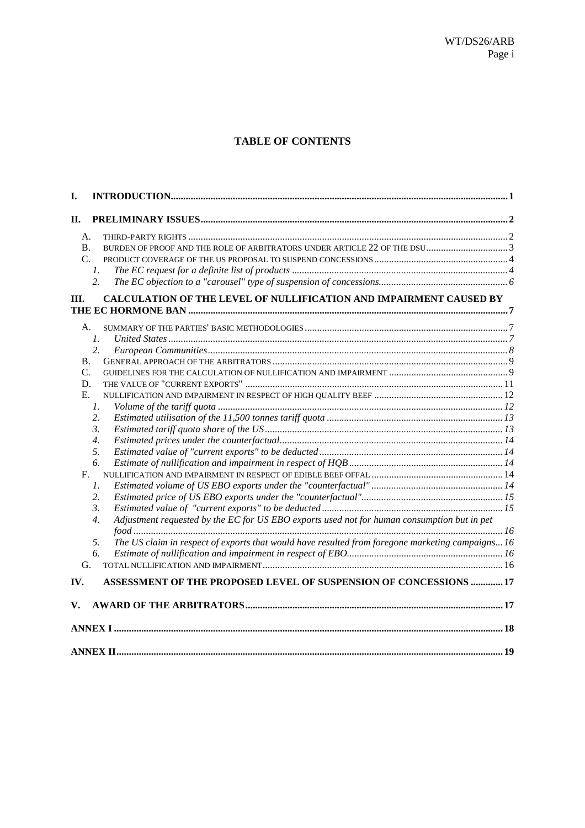#### **TABLE OF CONTENTS**

| I.             |                  |                                                                                                  |  |
|----------------|------------------|--------------------------------------------------------------------------------------------------|--|
| П.             |                  |                                                                                                  |  |
| A.             |                  |                                                                                                  |  |
| $\mathbf{B}$ . |                  |                                                                                                  |  |
| $C_{\cdot}$    |                  |                                                                                                  |  |
|                | 1.               |                                                                                                  |  |
|                | 2.               |                                                                                                  |  |
| III.           |                  | CALCULATION OF THE LEVEL OF NULLIFICATION AND IMPAIRMENT CAUSED BY                               |  |
|                |                  |                                                                                                  |  |
| A.             |                  |                                                                                                  |  |
|                | $\mathcal{I}$ .  |                                                                                                  |  |
|                | 2.               |                                                                                                  |  |
| <b>B.</b>      |                  |                                                                                                  |  |
| C.             |                  |                                                                                                  |  |
| D.             |                  |                                                                                                  |  |
| Е.             |                  |                                                                                                  |  |
|                | $\mathcal{I}$ .  |                                                                                                  |  |
|                | 2.               |                                                                                                  |  |
|                | 3.               |                                                                                                  |  |
|                | $\overline{4}$ . |                                                                                                  |  |
|                | 5.               |                                                                                                  |  |
|                | 6.               |                                                                                                  |  |
| F.             |                  |                                                                                                  |  |
|                | 1.               |                                                                                                  |  |
|                | 2.               |                                                                                                  |  |
|                | $\mathfrak{Z}$ . |                                                                                                  |  |
|                | $\overline{4}$ . | Adjustment requested by the EC for US EBO exports used not for human consumption but in pet      |  |
|                |                  |                                                                                                  |  |
|                | 5.               | The US claim in respect of exports that would have resulted from foregone marketing campaigns 16 |  |
|                | 6.               |                                                                                                  |  |
| G.             |                  |                                                                                                  |  |
| IV.            |                  | ASSESSMENT OF THE PROPOSED LEVEL OF SUSPENSION OF CONCESSIONS  17                                |  |
| V.             |                  |                                                                                                  |  |
|                |                  |                                                                                                  |  |
|                |                  |                                                                                                  |  |
|                |                  |                                                                                                  |  |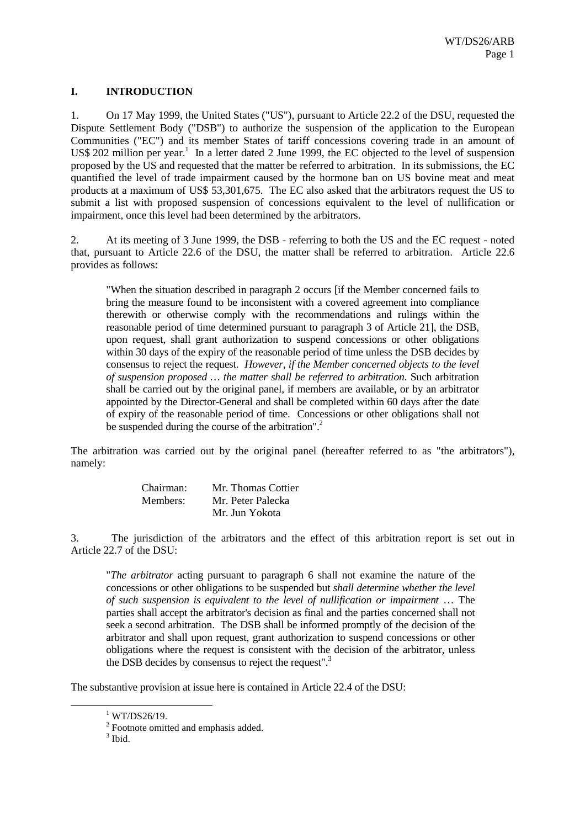#### **I. INTRODUCTION**

1. On 17 May 1999, the United States ("US"), pursuant to Article 22.2 of the DSU, requested the Dispute Settlement Body ("DSB") to authorize the suspension of the application to the European Communities ("EC") and its member States of tariff concessions covering trade in an amount of US\$ 202 million per year.<sup>1</sup> In a letter dated 2 June 1999, the EC objected to the level of suspension proposed by the US and requested that the matter be referred to arbitration. In its submissions, the EC quantified the level of trade impairment caused by the hormone ban on US bovine meat and meat products at a maximum of US\$ 53,301,675. The EC also asked that the arbitrators request the US to submit a list with proposed suspension of concessions equivalent to the level of nullification or impairment, once this level had been determined by the arbitrators.

2. At its meeting of 3 June 1999, the DSB - referring to both the US and the EC request - noted that, pursuant to Article 22.6 of the DSU, the matter shall be referred to arbitration. Article 22.6 provides as follows:

"When the situation described in paragraph 2 occurs [if the Member concerned fails to bring the measure found to be inconsistent with a covered agreement into compliance therewith or otherwise comply with the recommendations and rulings within the reasonable period of time determined pursuant to paragraph 3 of Article 21], the DSB, upon request, shall grant authorization to suspend concessions or other obligations within 30 days of the expiry of the reasonable period of time unless the DSB decides by consensus to reject the request. *However, if the Member concerned objects to the level of suspension proposed … the matter shall be referred to arbitration*. Such arbitration shall be carried out by the original panel, if members are available, or by an arbitrator appointed by the Director-General and shall be completed within 60 days after the date of expiry of the reasonable period of time. Concessions or other obligations shall not be suspended during the course of the arbitration".<sup>2</sup>

The arbitration was carried out by the original panel (hereafter referred to as "the arbitrators"), namely:

| Chairman: | Mr. Thomas Cottier |
|-----------|--------------------|
| Members:  | Mr. Peter Palecka  |
|           | Mr. Jun Yokota     |

3. The jurisdiction of the arbitrators and the effect of this arbitration report is set out in Article 22.7 of the DSU:

"*The arbitrator* acting pursuant to paragraph 6 shall not examine the nature of the concessions or other obligations to be suspended but *shall determine whether the level of such suspension is equivalent to the level of nullification or impairment* … The parties shall accept the arbitrator's decision as final and the parties concerned shall not seek a second arbitration. The DSB shall be informed promptly of the decision of the arbitrator and shall upon request, grant authorization to suspend concessions or other obligations where the request is consistent with the decision of the arbitrator, unless the DSB decides by consensus to reject the request".<sup>3</sup>

The substantive provision at issue here is contained in Article 22.4 of the DSU:

<sup>&</sup>lt;u>1</u>  $1$  WT/DS26/19.

 $2^2$  Footnote omitted and emphasis added.

 $3$  Ibid.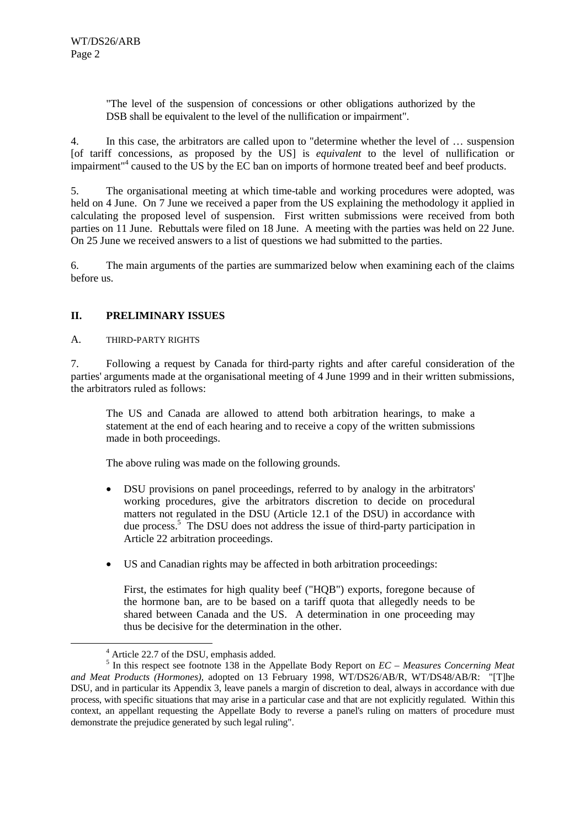"The level of the suspension of concessions or other obligations authorized by the DSB shall be equivalent to the level of the nullification or impairment".

4. In this case, the arbitrators are called upon to "determine whether the level of … suspension [of tariff concessions, as proposed by the US] is *equivalent* to the level of nullification or impairment"<sup>4</sup> caused to the US by the EC ban on imports of hormone treated beef and beef products.

5. The organisational meeting at which time-table and working procedures were adopted, was held on 4 June. On 7 June we received a paper from the US explaining the methodology it applied in calculating the proposed level of suspension. First written submissions were received from both parties on 11 June. Rebuttals were filed on 18 June. A meeting with the parties was held on 22 June. On 25 June we received answers to a list of questions we had submitted to the parties.

6. The main arguments of the parties are summarized below when examining each of the claims before us.

#### **II. PRELIMINARY ISSUES**

A. THIRD-PARTY RIGHTS

7. Following a request by Canada for third-party rights and after careful consideration of the parties' arguments made at the organisational meeting of 4 June 1999 and in their written submissions, the arbitrators ruled as follows:

The US and Canada are allowed to attend both arbitration hearings, to make a statement at the end of each hearing and to receive a copy of the written submissions made in both proceedings.

The above ruling was made on the following grounds.

- DSU provisions on panel proceedings, referred to by analogy in the arbitrators' working procedures, give the arbitrators discretion to decide on procedural matters not regulated in the DSU (Article 12.1 of the DSU) in accordance with due process.<sup>5</sup> The DSU does not address the issue of third-party participation in Article 22 arbitration proceedings.
- US and Canadian rights may be affected in both arbitration proceedings:

First, the estimates for high quality beef ("HQB") exports, foregone because of the hormone ban, are to be based on a tariff quota that allegedly needs to be shared between Canada and the US. A determination in one proceeding may thus be decisive for the determination in the other.

 <sup>4</sup> <sup>4</sup> Article 22.7 of the DSU, emphasis added.

<sup>5</sup> In this respect see footnote 138 in the Appellate Body Report on *EC – Measures Concerning Meat and Meat Products (Hormones)*, adopted on 13 February 1998, WT/DS26/AB/R, WT/DS48/AB/R: "[T]he DSU, and in particular its Appendix 3, leave panels a margin of discretion to deal, always in accordance with due process, with specific situations that may arise in a particular case and that are not explicitly regulated. Within this context, an appellant requesting the Appellate Body to reverse a panel's ruling on matters of procedure must demonstrate the prejudice generated by such legal ruling".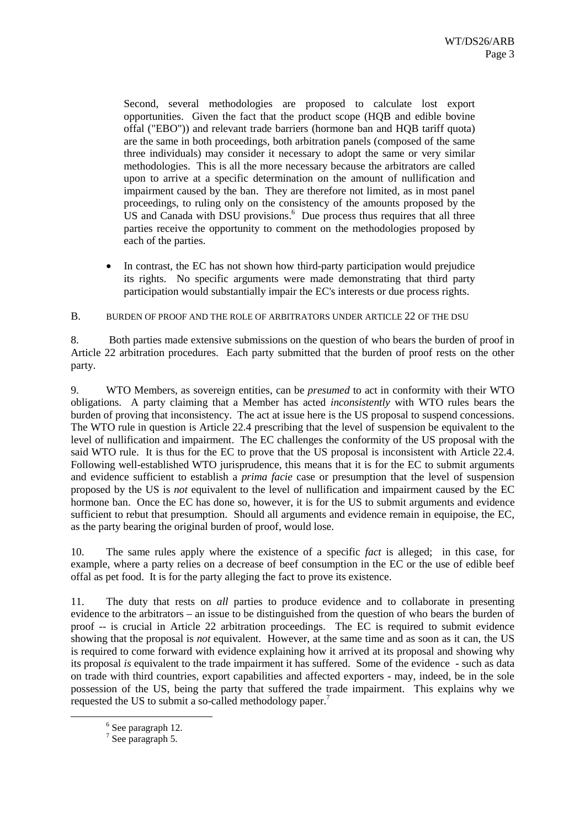Second, several methodologies are proposed to calculate lost export opportunities. Given the fact that the product scope (HQB and edible bovine offal ("EBO")) and relevant trade barriers (hormone ban and HQB tariff quota) are the same in both proceedings, both arbitration panels (composed of the same three individuals) may consider it necessary to adopt the same or very similar methodologies. This is all the more necessary because the arbitrators are called upon to arrive at a specific determination on the amount of nullification and impairment caused by the ban. They are therefore not limited, as in most panel proceedings, to ruling only on the consistency of the amounts proposed by the US and Canada with DSU provisions.<sup>6</sup> Due process thus requires that all three parties receive the opportunity to comment on the methodologies proposed by each of the parties.

• In contrast, the EC has not shown how third-party participation would prejudice its rights. No specific arguments were made demonstrating that third party participation would substantially impair the EC's interests or due process rights.

B. BURDEN OF PROOF AND THE ROLE OF ARBITRATORS UNDER ARTICLE 22 OF THE DSU

8. Both parties made extensive submissions on the question of who bears the burden of proof in Article 22 arbitration procedures. Each party submitted that the burden of proof rests on the other party.

9. WTO Members, as sovereign entities, can be *presumed* to act in conformity with their WTO obligations. A party claiming that a Member has acted *inconsistently* with WTO rules bears the burden of proving that inconsistency. The act at issue here is the US proposal to suspend concessions. The WTO rule in question is Article 22.4 prescribing that the level of suspension be equivalent to the level of nullification and impairment. The EC challenges the conformity of the US proposal with the said WTO rule. It is thus for the EC to prove that the US proposal is inconsistent with Article 22.4. Following well-established WTO jurisprudence, this means that it is for the EC to submit arguments and evidence sufficient to establish a *prima facie* case or presumption that the level of suspension proposed by the US is *not* equivalent to the level of nullification and impairment caused by the EC hormone ban. Once the EC has done so, however, it is for the US to submit arguments and evidence sufficient to rebut that presumption. Should all arguments and evidence remain in equipoise, the EC, as the party bearing the original burden of proof, would lose.

10. The same rules apply where the existence of a specific *fact* is alleged; in this case, for example, where a party relies on a decrease of beef consumption in the EC or the use of edible beef offal as pet food. It is for the party alleging the fact to prove its existence.

11. The duty that rests on *all* parties to produce evidence and to collaborate in presenting evidence to the arbitrators – an issue to be distinguished from the question of who bears the burden of proof -- is crucial in Article 22 arbitration proceedings. The EC is required to submit evidence showing that the proposal is *not* equivalent. However, at the same time and as soon as it can, the US is required to come forward with evidence explaining how it arrived at its proposal and showing why its proposal *is* equivalent to the trade impairment it has suffered. Some of the evidence - such as data on trade with third countries, export capabilities and affected exporters - may, indeed, be in the sole possession of the US, being the party that suffered the trade impairment. This explains why we requested the US to submit a so-called methodology paper.<sup>7</sup>

 $\overline{6}$  $<sup>6</sup>$  See paragraph 12.</sup>

<sup>&</sup>lt;sup>7</sup> See paragraph 5.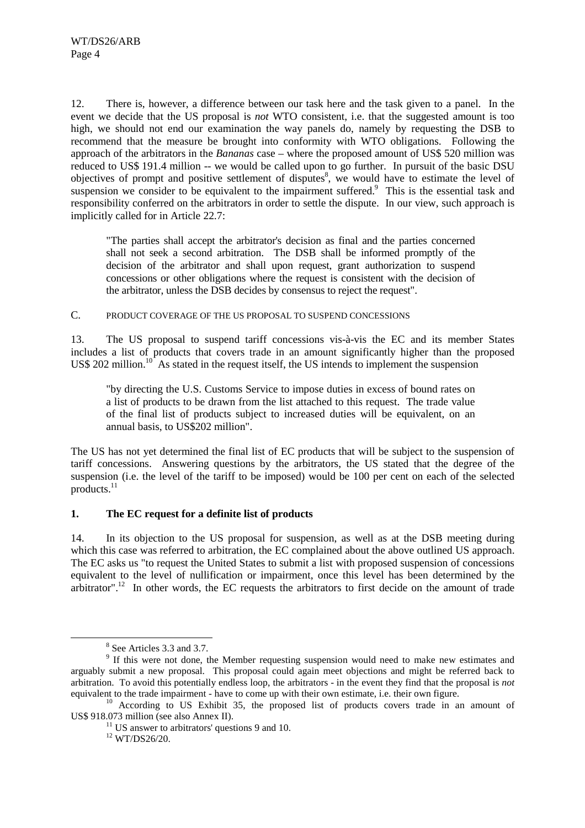12. There is, however, a difference between our task here and the task given to a panel. In the event we decide that the US proposal is *not* WTO consistent, i.e. that the suggested amount is too high, we should not end our examination the way panels do, namely by requesting the DSB to recommend that the measure be brought into conformity with WTO obligations. Following the approach of the arbitrators in the *Bananas* case – where the proposed amount of US\$ 520 million was reduced to US\$ 191.4 million -- we would be called upon to go further. In pursuit of the basic DSU objectives of prompt and positive settlement of disputes<sup>8</sup>, we would have to estimate the level of suspension we consider to be equivalent to the impairment suffered.<sup>9</sup> This is the essential task and responsibility conferred on the arbitrators in order to settle the dispute. In our view, such approach is implicitly called for in Article 22.7:

"The parties shall accept the arbitrator's decision as final and the parties concerned shall not seek a second arbitration. The DSB shall be informed promptly of the decision of the arbitrator and shall upon request, grant authorization to suspend concessions or other obligations where the request is consistent with the decision of the arbitrator, unless the DSB decides by consensus to reject the request".

C. PRODUCT COVERAGE OF THE US PROPOSAL TO SUSPEND CONCESSIONS

13. The US proposal to suspend tariff concessions vis-à-vis the EC and its member States includes a list of products that covers trade in an amount significantly higher than the proposed US\$ 202 million.<sup>10</sup> As stated in the request itself, the US intends to implement the suspension

"by directing the U.S. Customs Service to impose duties in excess of bound rates on a list of products to be drawn from the list attached to this request. The trade value of the final list of products subject to increased duties will be equivalent, on an annual basis, to US\$202 million".

The US has not yet determined the final list of EC products that will be subject to the suspension of tariff concessions. Answering questions by the arbitrators, the US stated that the degree of the suspension (i.e. the level of the tariff to be imposed) would be 100 per cent on each of the selected products. $^{11}$ 

#### **1. The EC request for a definite list of products**

14. In its objection to the US proposal for suspension, as well as at the DSB meeting during which this case was referred to arbitration, the EC complained about the above outlined US approach. The EC asks us "to request the United States to submit a list with proposed suspension of concessions equivalent to the level of nullification or impairment, once this level has been determined by the arbitrator".<sup>12</sup> In other words, the EC requests the arbitrators to first decide on the amount of trade

 <sup>8</sup> <sup>8</sup> See Articles 3.3 and 3.7.

 $9$  If this were not done, the Member requesting suspension would need to make new estimates and arguably submit a new proposal. This proposal could again meet objections and might be referred back to arbitration. To avoid this potentially endless loop, the arbitrators - in the event they find that the proposal is *not*

equivalent to the trade impairment - have to come up with their own estimate, i.e. their own figure.<br><sup>10</sup> According to US Exhibit 35, the proposed list of products covers trade in an amount of US\$ 918.073 million (see also

 $11$  US answer to arbitrators' questions 9 and 10.

<sup>12</sup> WT/DS26/20.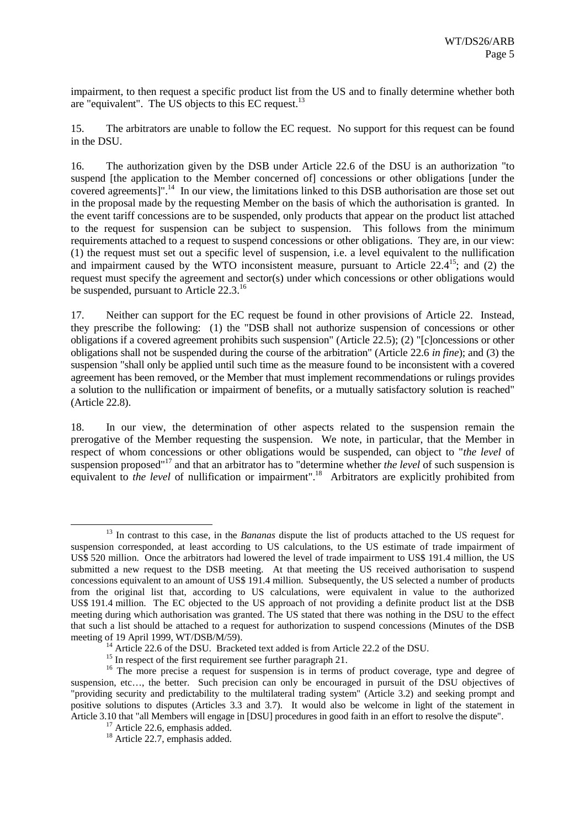impairment, to then request a specific product list from the US and to finally determine whether both are "equivalent". The US objects to this EC request.13

15. The arbitrators are unable to follow the EC request. No support for this request can be found in the DSU.

16. The authorization given by the DSB under Article 22.6 of the DSU is an authorization "to suspend [the application to the Member concerned of] concessions or other obligations [under the covered agreements]".<sup>14</sup> In our view, the limitations linked to this DSB authorisation are those set out in the proposal made by the requesting Member on the basis of which the authorisation is granted. In the event tariff concessions are to be suspended, only products that appear on the product list attached to the request for suspension can be subject to suspension. This follows from the minimum requirements attached to a request to suspend concessions or other obligations. They are, in our view: (1) the request must set out a specific level of suspension, i.e. a level equivalent to the nullification and impairment caused by the WTO inconsistent measure, pursuant to Article  $22.4^{15}$ ; and (2) the request must specify the agreement and sector(s) under which concessions or other obligations would be suspended, pursuant to Article  $22.3^{16}$ 

17. Neither can support for the EC request be found in other provisions of Article 22. Instead, they prescribe the following: (1) the "DSB shall not authorize suspension of concessions or other obligations if a covered agreement prohibits such suspension" (Article 22.5); (2) "[c]oncessions or other obligations shall not be suspended during the course of the arbitration" (Article 22.6 *in fine*); and (3) the suspension "shall only be applied until such time as the measure found to be inconsistent with a covered agreement has been removed, or the Member that must implement recommendations or rulings provides a solution to the nullification or impairment of benefits, or a mutually satisfactory solution is reached" (Article 22.8).

18. In our view, the determination of other aspects related to the suspension remain the prerogative of the Member requesting the suspension. We note, in particular, that the Member in respect of whom concessions or other obligations would be suspended, can object to "*the level* of suspension proposed"17 and that an arbitrator has to "determine whether *the level* of such suspension is equivalent to *the level* of nullification or impairment".<sup>18</sup> Arbitrators are explicitly prohibited from

<sup>&</sup>lt;sup>13</sup> In contrast to this case, in the *Bananas* dispute the list of products attached to the US request for suspension corresponded, at least according to US calculations, to the US estimate of trade impairment of US\$ 520 million. Once the arbitrators had lowered the level of trade impairment to US\$ 191.4 million, the US submitted a new request to the DSB meeting. At that meeting the US received authorisation to suspend concessions equivalent to an amount of US\$ 191.4 million. Subsequently, the US selected a number of products from the original list that, according to US calculations, were equivalent in value to the authorized US\$ 191.4 million. The EC objected to the US approach of not providing a definite product list at the DSB meeting during which authorisation was granted. The US stated that there was nothing in the DSU to the effect that such a list should be attached to a request for authorization to suspend concessions (Minutes of the DSB meeting of 19 April 1999, WT/DSB/M/59).<br><sup>14</sup> Article 22.6 of the DSU. Bracketed text added is from Article 22.2 of the DSU.

<sup>&</sup>lt;sup>15</sup> In respect of the first requirement see further paragraph 21.

<sup>&</sup>lt;sup>16</sup> The more precise a request for suspension is in terms of product coverage, type and degree of suspension, etc…, the better. Such precision can only be encouraged in pursuit of the DSU objectives of "providing security and predictability to the multilateral trading system" (Article 3.2) and seeking prompt and positive solutions to disputes (Articles 3.3 and 3.7). It would also be welcome in light of the statement in Article 3.10 that "all Members will engage in [DSU] procedures in good faith in an effort to resolve the dispute".<br><sup>17</sup> Article 22.6, emphasis added.

<sup>&</sup>lt;sup>18</sup> Article 22.7, emphasis added.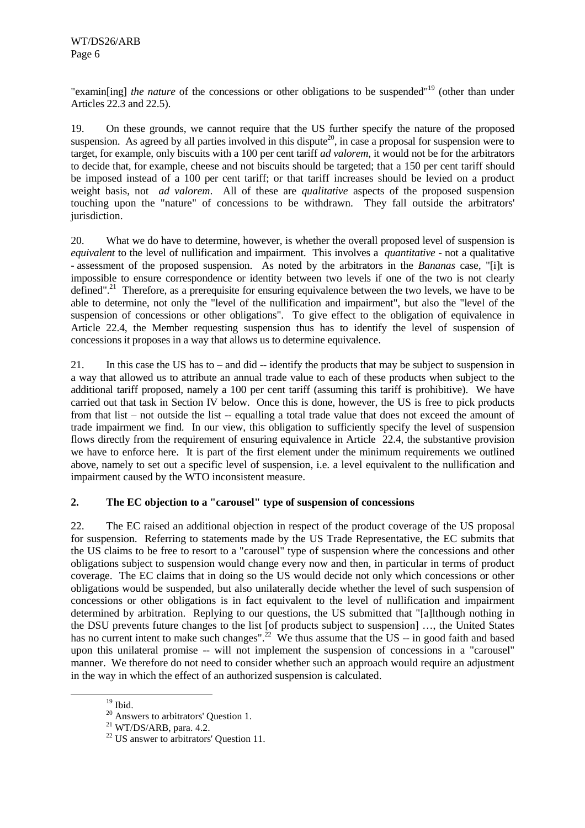"examin[ing] *the nature* of the concessions or other obligations to be suspended"<sup>19</sup> (other than under Articles 22.3 and 22.5).

19. On these grounds, we cannot require that the US further specify the nature of the proposed suspension. As agreed by all parties involved in this dispute<sup>20</sup>, in case a proposal for suspension were to target, for example, only biscuits with a 100 per cent tariff *ad valorem*, it would not be for the arbitrators to decide that, for example, cheese and not biscuits should be targeted; that a 150 per cent tariff should be imposed instead of a 100 per cent tariff; or that tariff increases should be levied on a product weight basis, not *ad valorem*. All of these are *qualitative* aspects of the proposed suspension touching upon the "nature" of concessions to be withdrawn. They fall outside the arbitrators' jurisdiction.

20. What we do have to determine, however, is whether the overall proposed level of suspension is *equivalent* to the level of nullification and impairment. This involves a *quantitative* - not a qualitative - assessment of the proposed suspension. As noted by the arbitrators in the *Bananas* case, "[i]t is impossible to ensure correspondence or identity between two levels if one of the two is not clearly defined".<sup>21</sup> Therefore, as a prerequisite for ensuring equivalence between the two levels, we have to be able to determine, not only the "level of the nullification and impairment", but also the "level of the suspension of concessions or other obligations". To give effect to the obligation of equivalence in Article 22.4, the Member requesting suspension thus has to identify the level of suspension of concessions it proposes in a way that allows us to determine equivalence.

21. In this case the US has to – and did -- identify the products that may be subject to suspension in a way that allowed us to attribute an annual trade value to each of these products when subject to the additional tariff proposed, namely a 100 per cent tariff (assuming this tariff is prohibitive). We have carried out that task in Section IV below. Once this is done, however, the US is free to pick products from that list – not outside the list -- equalling a total trade value that does not exceed the amount of trade impairment we find. In our view, this obligation to sufficiently specify the level of suspension flows directly from the requirement of ensuring equivalence in Article 22.4, the substantive provision we have to enforce here. It is part of the first element under the minimum requirements we outlined above, namely to set out a specific level of suspension, i.e. a level equivalent to the nullification and impairment caused by the WTO inconsistent measure.

#### **2. The EC objection to a "carousel" type of suspension of concessions**

22. The EC raised an additional objection in respect of the product coverage of the US proposal for suspension. Referring to statements made by the US Trade Representative, the EC submits that the US claims to be free to resort to a "carousel" type of suspension where the concessions and other obligations subject to suspension would change every now and then, in particular in terms of product coverage. The EC claims that in doing so the US would decide not only which concessions or other obligations would be suspended, but also unilaterally decide whether the level of such suspension of concessions or other obligations is in fact equivalent to the level of nullification and impairment determined by arbitration. Replying to our questions, the US submitted that "[a]lthough nothing in the DSU prevents future changes to the list [of products subject to suspension] …, the United States has no current intent to make such changes".<sup>22</sup> We thus assume that the US -- in good faith and based upon this unilateral promise -- will not implement the suspension of concessions in a "carousel" manner. We therefore do not need to consider whether such an approach would require an adjustment in the way in which the effect of an authorized suspension is calculated.

 $19$  Ibid.

 $20$  Answers to arbitrators' Question 1.

 $21$  WT/DS/ARB, para. 4.2.

<sup>&</sup>lt;sup>22</sup> US answer to arbitrators' Question 11.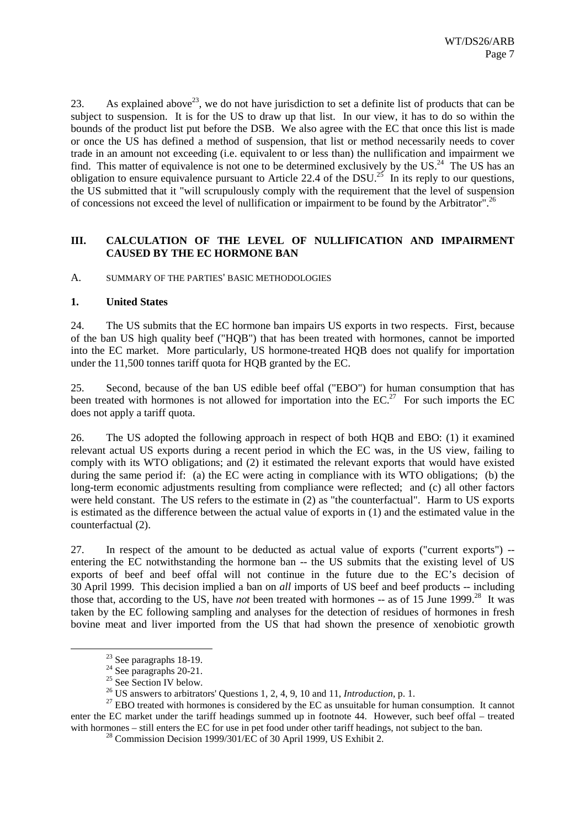23. As explained above<sup>23</sup>, we do not have jurisdiction to set a definite list of products that can be subject to suspension. It is for the US to draw up that list. In our view, it has to do so within the bounds of the product list put before the DSB. We also agree with the EC that once this list is made or once the US has defined a method of suspension, that list or method necessarily needs to cover trade in an amount not exceeding (i.e. equivalent to or less than) the nullification and impairment we find. This matter of equivalence is not one to be determined exclusively by the US.<sup>24</sup> The US has an obligation to ensure equivalence pursuant to Article 22.4 of the DSU.<sup>25</sup> In its reply to our questions, the US submitted that it "will scrupulously comply with the requirement that the level of suspension of concessions not exceed the level of nullification or impairment to be found by the Arbitrator".26

#### **III. CALCULATION OF THE LEVEL OF NULLIFICATION AND IMPAIRMENT CAUSED BY THE EC HORMONE BAN**

A. SUMMARY OF THE PARTIES' BASIC METHODOLOGIES

#### **1. United States**

24. The US submits that the EC hormone ban impairs US exports in two respects. First, because of the ban US high quality beef ("HQB") that has been treated with hormones, cannot be imported into the EC market. More particularly, US hormone-treated HQB does not qualify for importation under the 11,500 tonnes tariff quota for HQB granted by the EC.

25. Second, because of the ban US edible beef offal ("EBO") for human consumption that has been treated with hormones is not allowed for importation into the  $EC<sup>27</sup>$  For such imports the EC does not apply a tariff quota.

26. The US adopted the following approach in respect of both HQB and EBO: (1) it examined relevant actual US exports during a recent period in which the EC was, in the US view, failing to comply with its WTO obligations; and (2) it estimated the relevant exports that would have existed during the same period if: (a) the EC were acting in compliance with its WTO obligations; (b) the long-term economic adjustments resulting from compliance were reflected; and (c) all other factors were held constant. The US refers to the estimate in (2) as "the counterfactual". Harm to US exports is estimated as the difference between the actual value of exports in (1) and the estimated value in the counterfactual (2).

27. In respect of the amount to be deducted as actual value of exports ("current exports") - entering the EC notwithstanding the hormone ban -- the US submits that the existing level of US exports of beef and beef offal will not continue in the future due to the EC's decision of 30 April 1999. This decision implied a ban on *all* imports of US beef and beef products -- including those that, according to the US, have *not* been treated with hormones -- as of 15 June 1999.<sup>28</sup> It was taken by the EC following sampling and analyses for the detection of residues of hormones in fresh bovine meat and liver imported from the US that had shown the presence of xenobiotic growth

 $23$  See paragraphs 18-19.

 $24$  See paragraphs 20-21.

<sup>&</sup>lt;sup>25</sup> See Section IV below.<br><sup>26</sup> US answers to arbitrators' Questions 1, 2, 4, 9, 10 and 11, *Introduction*, p. 1.

 $27$  EBO treated with hormones is considered by the EC as unsuitable for human consumption. It cannot enter the EC market under the tariff headings summed up in footnote 44. However, such beef offal – treated with hormones – still enters the EC for use in pet food under other tariff headings, not subject to the ban.<br><sup>28</sup> Commission Decision 1999/301/EC of 30 April 1999, US Exhibit 2.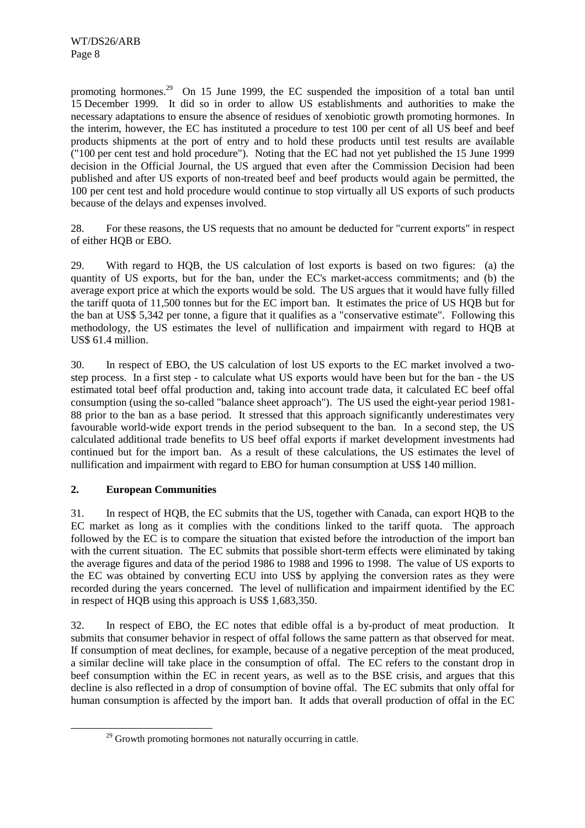promoting hormones.<sup>29</sup> On 15 June 1999, the EC suspended the imposition of a total ban until 15 December 1999. It did so in order to allow US establishments and authorities to make the necessary adaptations to ensure the absence of residues of xenobiotic growth promoting hormones. In the interim, however, the EC has instituted a procedure to test 100 per cent of all US beef and beef products shipments at the port of entry and to hold these products until test results are available ("100 per cent test and hold procedure"). Noting that the EC had not yet published the 15 June 1999 decision in the Official Journal, the US argued that even after the Commission Decision had been published and after US exports of non-treated beef and beef products would again be permitted, the 100 per cent test and hold procedure would continue to stop virtually all US exports of such products because of the delays and expenses involved.

28. For these reasons, the US requests that no amount be deducted for "current exports" in respect of either HQB or EBO.

29. With regard to HQB, the US calculation of lost exports is based on two figures: (a) the quantity of US exports, but for the ban, under the EC's market-access commitments; and (b) the average export price at which the exports would be sold. The US argues that it would have fully filled the tariff quota of 11,500 tonnes but for the EC import ban. It estimates the price of US HQB but for the ban at US\$ 5,342 per tonne, a figure that it qualifies as a "conservative estimate". Following this methodology, the US estimates the level of nullification and impairment with regard to HQB at US\$ 61.4 million.

30. In respect of EBO, the US calculation of lost US exports to the EC market involved a twostep process. In a first step - to calculate what US exports would have been but for the ban - the US estimated total beef offal production and, taking into account trade data, it calculated EC beef offal consumption (using the so-called "balance sheet approach"). The US used the eight-year period 1981- 88 prior to the ban as a base period. It stressed that this approach significantly underestimates very favourable world-wide export trends in the period subsequent to the ban. In a second step, the US calculated additional trade benefits to US beef offal exports if market development investments had continued but for the import ban. As a result of these calculations, the US estimates the level of nullification and impairment with regard to EBO for human consumption at US\$ 140 million.

#### **2. European Communities**

31. In respect of HQB, the EC submits that the US, together with Canada, can export HQB to the EC market as long as it complies with the conditions linked to the tariff quota. The approach followed by the EC is to compare the situation that existed before the introduction of the import ban with the current situation. The EC submits that possible short-term effects were eliminated by taking the average figures and data of the period 1986 to 1988 and 1996 to 1998. The value of US exports to the EC was obtained by converting ECU into US\$ by applying the conversion rates as they were recorded during the years concerned. The level of nullification and impairment identified by the EC in respect of HQB using this approach is US\$ 1,683,350.

32. In respect of EBO, the EC notes that edible offal is a by-product of meat production. It submits that consumer behavior in respect of offal follows the same pattern as that observed for meat. If consumption of meat declines, for example, because of a negative perception of the meat produced, a similar decline will take place in the consumption of offal. The EC refers to the constant drop in beef consumption within the EC in recent years, as well as to the BSE crisis, and argues that this decline is also reflected in a drop of consumption of bovine offal. The EC submits that only offal for human consumption is affected by the import ban. It adds that overall production of offal in the EC

<sup>&</sup>lt;sup>29</sup> Growth promoting hormones not naturally occurring in cattle.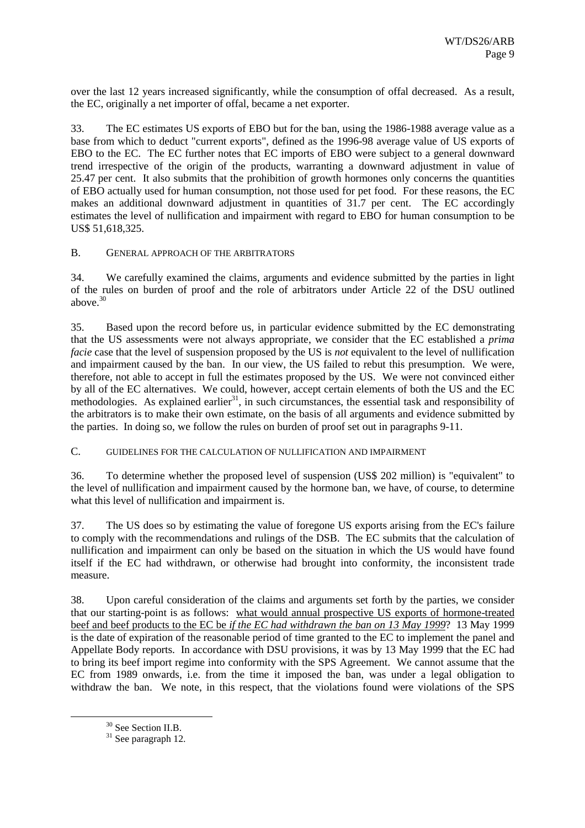over the last 12 years increased significantly, while the consumption of offal decreased. As a result, the EC, originally a net importer of offal, became a net exporter.

33. The EC estimates US exports of EBO but for the ban, using the 1986-1988 average value as a base from which to deduct "current exports", defined as the 1996-98 average value of US exports of EBO to the EC. The EC further notes that EC imports of EBO were subject to a general downward trend irrespective of the origin of the products, warranting a downward adjustment in value of 25.47 per cent. It also submits that the prohibition of growth hormones only concerns the quantities of EBO actually used for human consumption, not those used for pet food. For these reasons, the EC makes an additional downward adjustment in quantities of 31.7 per cent. The EC accordingly estimates the level of nullification and impairment with regard to EBO for human consumption to be US\$ 51,618,325.

#### B. GENERAL APPROACH OF THE ARBITRATORS

34. We carefully examined the claims, arguments and evidence submitted by the parties in light of the rules on burden of proof and the role of arbitrators under Article 22 of the DSU outlined above.<sup>30</sup>

35. Based upon the record before us, in particular evidence submitted by the EC demonstrating that the US assessments were not always appropriate, we consider that the EC established a *prima facie* case that the level of suspension proposed by the US is *not* equivalent to the level of nullification and impairment caused by the ban. In our view, the US failed to rebut this presumption. We were, therefore, not able to accept in full the estimates proposed by the US. We were not convinced either by all of the EC alternatives. We could, however, accept certain elements of both the US and the EC methodologies. As explained earlier<sup>31</sup>, in such circumstances, the essential task and responsibility of the arbitrators is to make their own estimate, on the basis of all arguments and evidence submitted by the parties. In doing so, we follow the rules on burden of proof set out in paragraphs 9-11.

#### C. GUIDELINES FOR THE CALCULATION OF NULLIFICATION AND IMPAIRMENT

36. To determine whether the proposed level of suspension (US\$ 202 million) is "equivalent" to the level of nullification and impairment caused by the hormone ban, we have, of course, to determine what this level of nullification and impairment is.

37. The US does so by estimating the value of foregone US exports arising from the EC's failure to comply with the recommendations and rulings of the DSB. The EC submits that the calculation of nullification and impairment can only be based on the situation in which the US would have found itself if the EC had withdrawn, or otherwise had brought into conformity, the inconsistent trade measure.

38. Upon careful consideration of the claims and arguments set forth by the parties, we consider that our starting-point is as follows: what would annual prospective US exports of hormone-treated beef and beef products to the EC be *if the EC had withdrawn the ban on 13 May 1999*? 13 May 1999 is the date of expiration of the reasonable period of time granted to the EC to implement the panel and Appellate Body reports. In accordance with DSU provisions, it was by 13 May 1999 that the EC had to bring its beef import regime into conformity with the SPS Agreement. We cannot assume that the EC from 1989 onwards, i.e. from the time it imposed the ban, was under a legal obligation to withdraw the ban. We note, in this respect, that the violations found were violations of the SPS

<sup>&</sup>lt;sup>30</sup> See Section II.B.

<sup>&</sup>lt;sup>31</sup> See paragraph 12.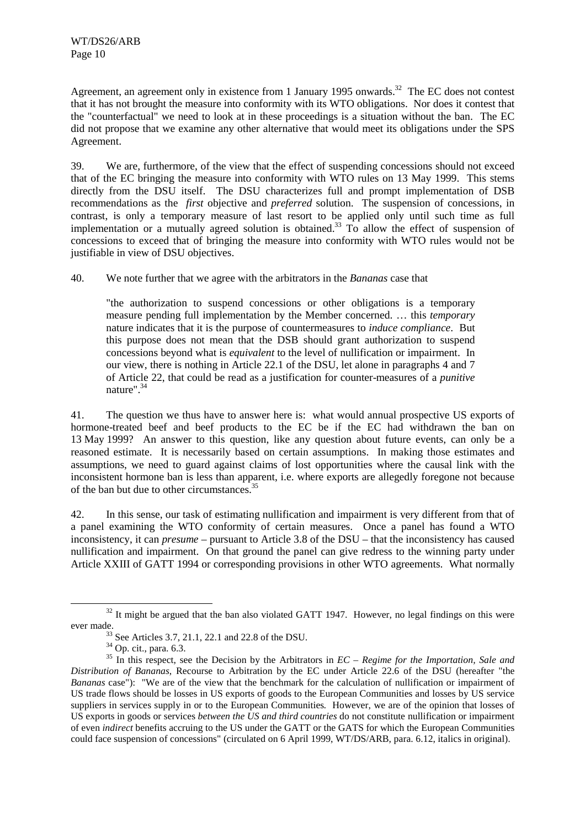Agreement, an agreement only in existence from 1 January 1995 onwards.<sup>32</sup> The EC does not contest that it has not brought the measure into conformity with its WTO obligations. Nor does it contest that the "counterfactual" we need to look at in these proceedings is a situation without the ban. The EC did not propose that we examine any other alternative that would meet its obligations under the SPS Agreement.

39. We are, furthermore, of the view that the effect of suspending concessions should not exceed that of the EC bringing the measure into conformity with WTO rules on 13 May 1999. This stems directly from the DSU itself. The DSU characterizes full and prompt implementation of DSB recommendations as the *first* objective and *preferred* solution. The suspension of concessions, in contrast, is only a temporary measure of last resort to be applied only until such time as full implementation or a mutually agreed solution is obtained.<sup>33</sup> To allow the effect of suspension of concessions to exceed that of bringing the measure into conformity with WTO rules would not be justifiable in view of DSU objectives.

40. We note further that we agree with the arbitrators in the *Bananas* case that

"the authorization to suspend concessions or other obligations is a temporary measure pending full implementation by the Member concerned. … this *temporary* nature indicates that it is the purpose of countermeasures to *induce compliance*. But this purpose does not mean that the DSB should grant authorization to suspend concessions beyond what is *equivalent* to the level of nullification or impairment. In our view, there is nothing in Article 22.1 of the DSU, let alone in paragraphs 4 and 7 of Article 22, that could be read as a justification for counter-measures of a *punitive* nature".34

41. The question we thus have to answer here is: what would annual prospective US exports of hormone-treated beef and beef products to the EC be if the EC had withdrawn the ban on 13 May 1999? An answer to this question, like any question about future events, can only be a reasoned estimate. It is necessarily based on certain assumptions. In making those estimates and assumptions, we need to guard against claims of lost opportunities where the causal link with the inconsistent hormone ban is less than apparent, i.e. where exports are allegedly foregone not because of the ban but due to other circumstances.<sup>35</sup>

42. In this sense, our task of estimating nullification and impairment is very different from that of a panel examining the WTO conformity of certain measures. Once a panel has found a WTO inconsistency, it can *presume* – pursuant to Article 3.8 of the DSU – that the inconsistency has caused nullification and impairment. On that ground the panel can give redress to the winning party under Article XXIII of GATT 1994 or corresponding provisions in other WTO agreements. What normally

 $32$  It might be argued that the ban also violated GATT 1947. However, no legal findings on this were ever made. <sup>33</sup> See Articles 3.7, 21.1, 22.1 and 22.8 of the DSU.

<sup>34</sup> Op. cit., para. 6.3.

<sup>&</sup>lt;sup>35</sup> In this respect, see the Decision by the Arbitrators in *EC – Regime for the Importation, Sale and Distribution of Bananas*, Recourse to Arbitration by the EC under Article 22.6 of the DSU (hereafter "the *Bananas* case"): "We are of the view that the benchmark for the calculation of nullification or impairment of US trade flows should be losses in US exports of goods to the European Communities and losses by US service suppliers in services supply in or to the European Communities*.* However, we are of the opinion that losses of US exports in goods or services *between the US and third countries* do not constitute nullification or impairment of even *indirect* benefits accruing to the US under the GATT or the GATS for which the European Communities could face suspension of concessions" (circulated on 6 April 1999, WT/DS/ARB, para. 6.12, italics in original).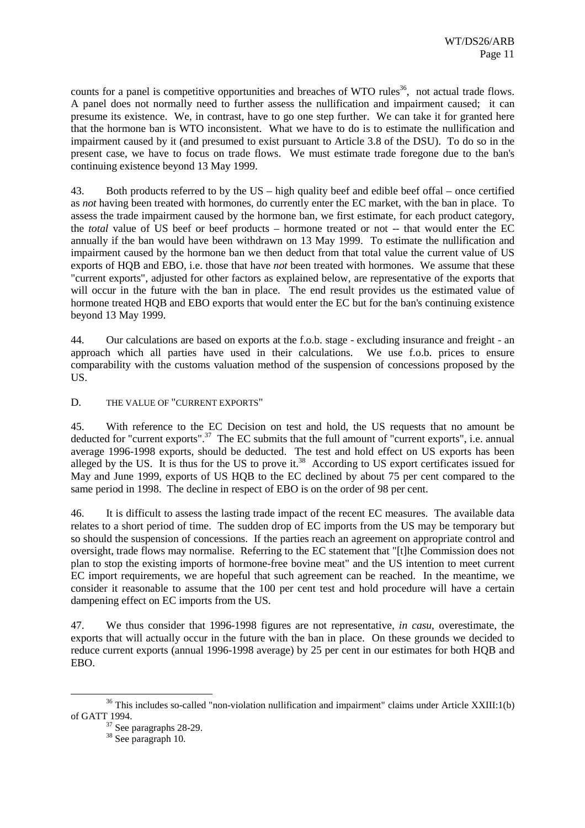counts for a panel is competitive opportunities and breaches of WTO rules<sup>36</sup>, not actual trade flows. A panel does not normally need to further assess the nullification and impairment caused; it can presume its existence. We, in contrast, have to go one step further. We can take it for granted here that the hormone ban is WTO inconsistent. What we have to do is to estimate the nullification and impairment caused by it (and presumed to exist pursuant to Article 3.8 of the DSU). To do so in the present case, we have to focus on trade flows. We must estimate trade foregone due to the ban's continuing existence beyond 13 May 1999.

43. Both products referred to by the US – high quality beef and edible beef offal – once certified as *not* having been treated with hormones, do currently enter the EC market, with the ban in place. To assess the trade impairment caused by the hormone ban, we first estimate, for each product category, the *total* value of US beef or beef products – hormone treated or not -- that would enter the EC annually if the ban would have been withdrawn on 13 May 1999. To estimate the nullification and impairment caused by the hormone ban we then deduct from that total value the current value of US exports of HQB and EBO, i.e. those that have *not* been treated with hormones. We assume that these "current exports", adjusted for other factors as explained below, are representative of the exports that will occur in the future with the ban in place. The end result provides us the estimated value of hormone treated HQB and EBO exports that would enter the EC but for the ban's continuing existence beyond 13 May 1999.

44. Our calculations are based on exports at the f.o.b. stage - excluding insurance and freight - an approach which all parties have used in their calculations. We use f.o.b. prices to ensure comparability with the customs valuation method of the suspension of concessions proposed by the US.

D. THE VALUE OF "CURRENT EXPORTS"

45. With reference to the EC Decision on test and hold, the US requests that no amount be deducted for "current exports".<sup>37</sup> The EC submits that the full amount of "current exports", i.e. annual average 1996-1998 exports, should be deducted. The test and hold effect on US exports has been alleged by the US. It is thus for the US to prove it.<sup>38</sup> According to US export certificates issued for May and June 1999, exports of US HQB to the EC declined by about 75 per cent compared to the same period in 1998. The decline in respect of EBO is on the order of 98 per cent.

46. It is difficult to assess the lasting trade impact of the recent EC measures. The available data relates to a short period of time. The sudden drop of EC imports from the US may be temporary but so should the suspension of concessions. If the parties reach an agreement on appropriate control and oversight, trade flows may normalise. Referring to the EC statement that "[t]he Commission does not plan to stop the existing imports of hormone-free bovine meat" and the US intention to meet current EC import requirements, we are hopeful that such agreement can be reached. In the meantime, we consider it reasonable to assume that the 100 per cent test and hold procedure will have a certain dampening effect on EC imports from the US.

47. We thus consider that 1996-1998 figures are not representative, *in casu*, overestimate, the exports that will actually occur in the future with the ban in place. On these grounds we decided to reduce current exports (annual 1996-1998 average) by 25 per cent in our estimates for both HQB and EBO.

<sup>&</sup>lt;sup>36</sup> This includes so-called "non-violation nullification and impairment" claims under Article XXIII:1(b) of GATT 1994.<br> $37$  See paragraphs 28-29.

<sup>38</sup> See paragraph 10.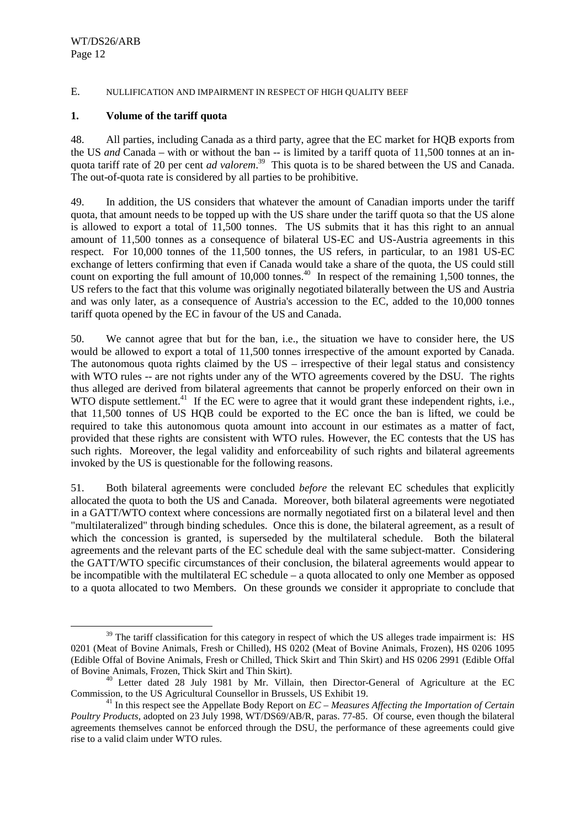#### E. NULLIFICATION AND IMPAIRMENT IN RESPECT OF HIGH QUALITY BEEF

#### **1. Volume of the tariff quota**

48. All parties, including Canada as a third party, agree that the EC market for HQB exports from the US *and* Canada – with or without the ban -- is limited by a tariff quota of 11,500 tonnes at an inquota tariff rate of 20 per cent *ad valorem*. 39 This quota is to be shared between the US and Canada. The out-of-quota rate is considered by all parties to be prohibitive.

49. In addition, the US considers that whatever the amount of Canadian imports under the tariff quota, that amount needs to be topped up with the US share under the tariff quota so that the US alone is allowed to export a total of 11,500 tonnes. The US submits that it has this right to an annual amount of 11,500 tonnes as a consequence of bilateral US-EC and US-Austria agreements in this respect. For 10,000 tonnes of the 11,500 tonnes, the US refers, in particular, to an 1981 US-EC exchange of letters confirming that even if Canada would take a share of the quota, the US could still count on exporting the full amount of 10,000 tonnes.<sup>40</sup> In respect of the remaining 1,500 tonnes, the US refers to the fact that this volume was originally negotiated bilaterally between the US and Austria and was only later, as a consequence of Austria's accession to the EC, added to the 10,000 tonnes tariff quota opened by the EC in favour of the US and Canada.

50. We cannot agree that but for the ban, i.e., the situation we have to consider here, the US would be allowed to export a total of 11,500 tonnes irrespective of the amount exported by Canada. The autonomous quota rights claimed by the US – irrespective of their legal status and consistency with WTO rules -- are not rights under any of the WTO agreements covered by the DSU. The rights thus alleged are derived from bilateral agreements that cannot be properly enforced on their own in WTO dispute settlement.<sup>41</sup> If the EC were to agree that it would grant these independent rights, i.e., that 11,500 tonnes of US HQB could be exported to the EC once the ban is lifted, we could be required to take this autonomous quota amount into account in our estimates as a matter of fact, provided that these rights are consistent with WTO rules. However, the EC contests that the US has such rights. Moreover, the legal validity and enforceability of such rights and bilateral agreements invoked by the US is questionable for the following reasons.

51. Both bilateral agreements were concluded *before* the relevant EC schedules that explicitly allocated the quota to both the US and Canada. Moreover, both bilateral agreements were negotiated in a GATT/WTO context where concessions are normally negotiated first on a bilateral level and then "multilateralized" through binding schedules. Once this is done, the bilateral agreement, as a result of which the concession is granted, is superseded by the multilateral schedule. Both the bilateral agreements and the relevant parts of the EC schedule deal with the same subject-matter. Considering the GATT/WTO specific circumstances of their conclusion, the bilateral agreements would appear to be incompatible with the multilateral EC schedule – a quota allocated to only one Member as opposed to a quota allocated to two Members. On these grounds we consider it appropriate to conclude that

<sup>&</sup>lt;sup>39</sup> The tariff classification for this category in respect of which the US alleges trade impairment is: HS 0201 (Meat of Bovine Animals, Fresh or Chilled), HS 0202 (Meat of Bovine Animals, Frozen), HS 0206 1095 (Edible Offal of Bovine Animals, Fresh or Chilled, Thick Skirt and Thin Skirt) and HS 0206 2991 (Edible Offal

of Bovine Animals, Frozen, Thick Skirt and Thin Skirt).<br><sup>40</sup> Letter dated 28 July 1981 by Mr. Villain, then Director-General of Agriculture at the EC<br>Commission, to the US Agricultural Counsellor in Brussels, US Exhibit 19

<sup>&</sup>lt;sup>41</sup> In this respect see the Appellate Body Report on  $EC - Measures$  Affecting the Importation of Certain *Poultry Products*, adopted on 23 July 1998, WT/DS69/AB/R, paras. 77-85. Of course, even though the bilateral agreements themselves cannot be enforced through the DSU, the performance of these agreements could give rise to a valid claim under WTO rules.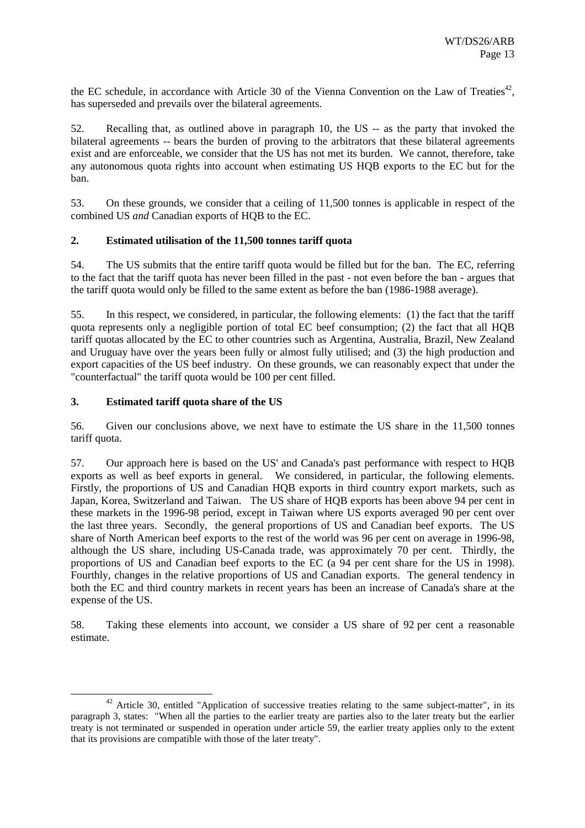the EC schedule, in accordance with Article 30 of the Vienna Convention on the Law of Treaties<sup>42</sup>. has superseded and prevails over the bilateral agreements.

52. Recalling that, as outlined above in paragraph 10, the US -- as the party that invoked the bilateral agreements -- bears the burden of proving to the arbitrators that these bilateral agreements exist and are enforceable, we consider that the US has not met its burden. We cannot, therefore, take any autonomous quota rights into account when estimating US HQB exports to the EC but for the ban.

53. On these grounds, we consider that a ceiling of 11,500 tonnes is applicable in respect of the combined US *and* Canadian exports of HQB to the EC.

#### **2. Estimated utilisation of the 11,500 tonnes tariff quota**

54. The US submits that the entire tariff quota would be filled but for the ban. The EC, referring to the fact that the tariff quota has never been filled in the past - not even before the ban - argues that the tariff quota would only be filled to the same extent as before the ban (1986-1988 average).

55. In this respect, we considered, in particular, the following elements: (1) the fact that the tariff quota represents only a negligible portion of total EC beef consumption; (2) the fact that all HQB tariff quotas allocated by the EC to other countries such as Argentina, Australia, Brazil, New Zealand and Uruguay have over the years been fully or almost fully utilised; and (3) the high production and export capacities of the US beef industry. On these grounds, we can reasonably expect that under the "counterfactual" the tariff quota would be 100 per cent filled.

#### **3. Estimated tariff quota share of the US**

56. Given our conclusions above, we next have to estimate the US share in the 11,500 tonnes tariff quota.

57. Our approach here is based on the US' and Canada's past performance with respect to HQB exports as well as beef exports in general. We considered, in particular, the following elements. Firstly, the proportions of US and Canadian HQB exports in third country export markets, such as Japan, Korea, Switzerland and Taiwan. The US share of HQB exports has been above 94 per cent in these markets in the 1996-98 period, except in Taiwan where US exports averaged 90 per cent over the last three years. Secondly, the general proportions of US and Canadian beef exports. The US share of North American beef exports to the rest of the world was 96 per cent on average in 1996-98, although the US share, including US-Canada trade, was approximately 70 per cent. Thirdly, the proportions of US and Canadian beef exports to the EC (a 94 per cent share for the US in 1998). Fourthly, changes in the relative proportions of US and Canadian exports. The general tendency in both the EC and third country markets in recent years has been an increase of Canada's share at the expense of the US.

58. Taking these elements into account, we consider a US share of 92 per cent a reasonable estimate.

 $42$  Article 30, entitled "Application of successive treaties relating to the same subject-matter", in its paragraph 3, states: "When all the parties to the earlier treaty are parties also to the later treaty but the earlier treaty is not terminated or suspended in operation under article 59, the earlier treaty applies only to the extent that its provisions are compatible with those of the later treaty".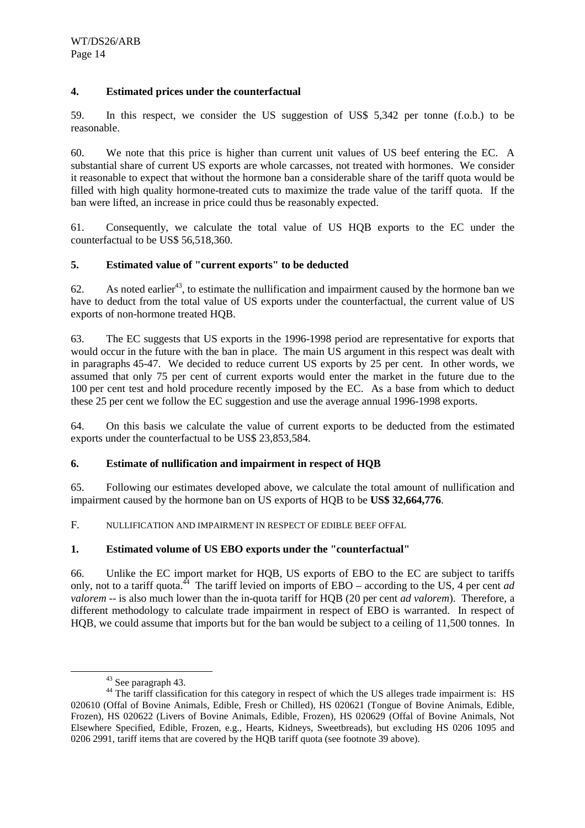#### **4. Estimated prices under the counterfactual**

59. In this respect, we consider the US suggestion of US\$ 5,342 per tonne (f.o.b.) to be reasonable.

60. We note that this price is higher than current unit values of US beef entering the EC. A substantial share of current US exports are whole carcasses, not treated with hormones. We consider it reasonable to expect that without the hormone ban a considerable share of the tariff quota would be filled with high quality hormone-treated cuts to maximize the trade value of the tariff quota. If the ban were lifted, an increase in price could thus be reasonably expected.

61. Consequently, we calculate the total value of US HQB exports to the EC under the counterfactual to be US\$ 56,518,360.

#### **5. Estimated value of "current exports" to be deducted**

62. As noted earlier<sup>43</sup>, to estimate the nullification and impairment caused by the hormone ban we have to deduct from the total value of US exports under the counterfactual, the current value of US exports of non-hormone treated HQB.

63. The EC suggests that US exports in the 1996-1998 period are representative for exports that would occur in the future with the ban in place. The main US argument in this respect was dealt with in paragraphs 45-47. We decided to reduce current US exports by 25 per cent. In other words, we assumed that only 75 per cent of current exports would enter the market in the future due to the 100 per cent test and hold procedure recently imposed by the EC. As a base from which to deduct these 25 per cent we follow the EC suggestion and use the average annual 1996-1998 exports.

64. On this basis we calculate the value of current exports to be deducted from the estimated exports under the counterfactual to be US\$ 23,853,584.

#### **6. Estimate of nullification and impairment in respect of HQB**

65. Following our estimates developed above, we calculate the total amount of nullification and impairment caused by the hormone ban on US exports of HQB to be **US\$ 32,664,776**.

F. NULLIFICATION AND IMPAIRMENT IN RESPECT OF EDIBLE BEEF OFFAL

#### **1. Estimated volume of US EBO exports under the "counterfactual"**

66. Unlike the EC import market for HQB, US exports of EBO to the EC are subject to tariffs only, not to a tariff quota.<sup>44</sup> The tariff levied on imports of EBO – according to the US, 4 per cent *ad valorem* -- is also much lower than the in-quota tariff for HQB (20 per cent *ad valorem*). Therefore, a different methodology to calculate trade impairment in respect of EBO is warranted. In respect of HQB, we could assume that imports but for the ban would be subject to a ceiling of 11,500 tonnes. In

 <sup>43</sup> See paragraph 43.

<sup>&</sup>lt;sup>44</sup> The tariff classification for this category in respect of which the US alleges trade impairment is: HS 020610 (Offal of Bovine Animals, Edible, Fresh or Chilled), HS 020621 (Tongue of Bovine Animals, Edible, Frozen), HS 020622 (Livers of Bovine Animals, Edible, Frozen), HS 020629 (Offal of Bovine Animals, Not Elsewhere Specified, Edible, Frozen, e.g., Hearts, Kidneys, Sweetbreads), but excluding HS 0206 1095 and 0206 2991, tariff items that are covered by the HQB tariff quota (see footnote 39 above).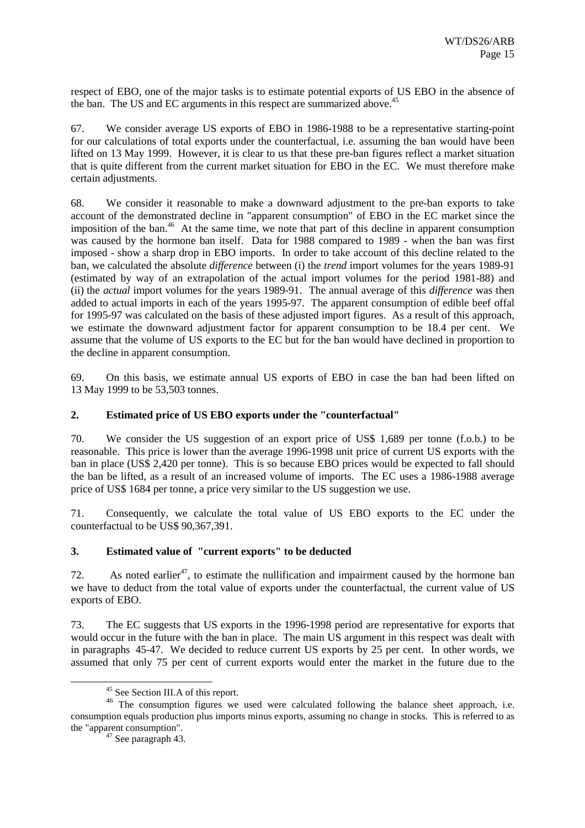respect of EBO, one of the major tasks is to estimate potential exports of US EBO in the absence of the ban. The US and EC arguments in this respect are summarized above.<sup>45</sup>

67. We consider average US exports of EBO in 1986-1988 to be a representative starting-point for our calculations of total exports under the counterfactual, i.e. assuming the ban would have been lifted on 13 May 1999.However, it is clear to us that these pre-ban figures reflect a market situation that is quite different from the current market situation for EBO in the EC. We must therefore make certain adjustments.

68. We consider it reasonable to make a downward adjustment to the pre-ban exports to take account of the demonstrated decline in "apparent consumption" of EBO in the EC market since the imposition of the ban.<sup>46</sup> At the same time, we note that part of this decline in apparent consumption was caused by the hormone ban itself. Data for 1988 compared to 1989 - when the ban was first imposed - show a sharp drop in EBO imports. In order to take account of this decline related to the ban, we calculated the absolute *difference* between (i) the *trend* import volumes for the years 1989-91 (estimated by way of an extrapolation of the actual import volumes for the period 1981-88) and (ii) the *actual* import volumes for the years 1989-91. The annual average of this *difference* was then added to actual imports in each of the years 1995-97. The apparent consumption of edible beef offal for 1995-97 was calculated on the basis of these adjusted import figures. As a result of this approach, we estimate the downward adjustment factor for apparent consumption to be 18.4 per cent. We assume that the volume of US exports to the EC but for the ban would have declined in proportion to the decline in apparent consumption.

69. On this basis, we estimate annual US exports of EBO in case the ban had been lifted on 13 May 1999 to be 53,503 tonnes.

#### **2. Estimated price of US EBO exports under the "counterfactual"**

70. We consider the US suggestion of an export price of US\$ 1,689 per tonne (f.o.b.) to be reasonable. This price is lower than the average 1996-1998 unit price of current US exports with the ban in place (US\$ 2,420 per tonne). This is so because EBO prices would be expected to fall should the ban be lifted, as a result of an increased volume of imports. The EC uses a 1986-1988 average price of US\$ 1684 per tonne, a price very similar to the US suggestion we use.

71. Consequently, we calculate the total value of US EBO exports to the EC under the counterfactual to be US\$ 90,367,391.

#### **3. Estimated value of "current exports" to be deducted**

72. As noted earlier<sup>47</sup>, to estimate the nullification and impairment caused by the hormone ban we have to deduct from the total value of exports under the counterfactual, the current value of US exports of EBO.

73. The EC suggests that US exports in the 1996-1998 period are representative for exports that would occur in the future with the ban in place. The main US argument in this respect was dealt with in paragraphs 45-47. We decided to reduce current US exports by 25 per cent. In other words, we assumed that only 75 per cent of current exports would enter the market in the future due to the

<sup>&</sup>lt;sup>45</sup> See Section III.A of this report.

<sup>&</sup>lt;sup>46</sup> The consumption figures we used were calculated following the balance sheet approach, i.e. consumption equals production plus imports minus exports, assuming no change in stocks. This is referred to as the "apparent consumption".<br> $47$  See paragraph 43.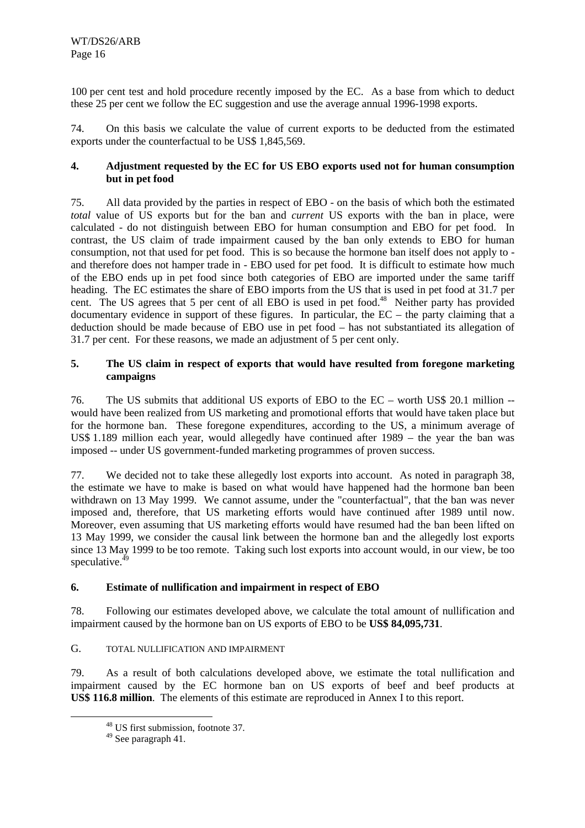100 per cent test and hold procedure recently imposed by the EC. As a base from which to deduct these 25 per cent we follow the EC suggestion and use the average annual 1996-1998 exports.

74. On this basis we calculate the value of current exports to be deducted from the estimated exports under the counterfactual to be US\$ 1,845,569.

#### **4. Adjustment requested by the EC for US EBO exports used not for human consumption but in pet food**

75. All data provided by the parties in respect of EBO - on the basis of which both the estimated *total* value of US exports but for the ban and *current* US exports with the ban in place, were calculated - do not distinguish between EBO for human consumption and EBO for pet food. In contrast, the US claim of trade impairment caused by the ban only extends to EBO for human consumption, not that used for pet food. This is so because the hormone ban itself does not apply to and therefore does not hamper trade in - EBO used for pet food. It is difficult to estimate how much of the EBO ends up in pet food since both categories of EBO are imported under the same tariff heading. The EC estimates the share of EBO imports from the US that is used in pet food at 31.7 per cent. The US agrees that 5 per cent of all EBO is used in pet food.<sup>48</sup> Neither party has provided documentary evidence in support of these figures. In particular, the EC – the party claiming that a deduction should be made because of EBO use in pet food – has not substantiated its allegation of 31.7 per cent. For these reasons, we made an adjustment of 5 per cent only.

#### **5. The US claim in respect of exports that would have resulted from foregone marketing campaigns**

76. The US submits that additional US exports of EBO to the EC – worth US\$ 20.1 million - would have been realized from US marketing and promotional efforts that would have taken place but for the hormone ban. These foregone expenditures, according to the US, a minimum average of US\$ 1.189 million each year, would allegedly have continued after 1989 – the year the ban was imposed -- under US government-funded marketing programmes of proven success.

77. We decided not to take these allegedly lost exports into account. As noted in paragraph 38, the estimate we have to make is based on what would have happened had the hormone ban been withdrawn on 13 May 1999. We cannot assume, under the "counterfactual", that the ban was never imposed and, therefore, that US marketing efforts would have continued after 1989 until now. Moreover, even assuming that US marketing efforts would have resumed had the ban been lifted on 13 May 1999, we consider the causal link between the hormone ban and the allegedly lost exports since 13 May 1999 to be too remote. Taking such lost exports into account would, in our view, be too speculative. $49$ 

#### **6. Estimate of nullification and impairment in respect of EBO**

78. Following our estimates developed above, we calculate the total amount of nullification and impairment caused by the hormone ban on US exports of EBO to be **US\$ 84,095,731**.

#### G. TOTAL NULLIFICATION AND IMPAIRMENT

79. As a result of both calculations developed above, we estimate the total nullification and impairment caused by the EC hormone ban on US exports of beef and beef products at **US\$ 116.8 million**. The elements of this estimate are reproduced in Annex I to this report.

 <sup>48</sup> US first submission, footnote 37.

<sup>49</sup> See paragraph 41.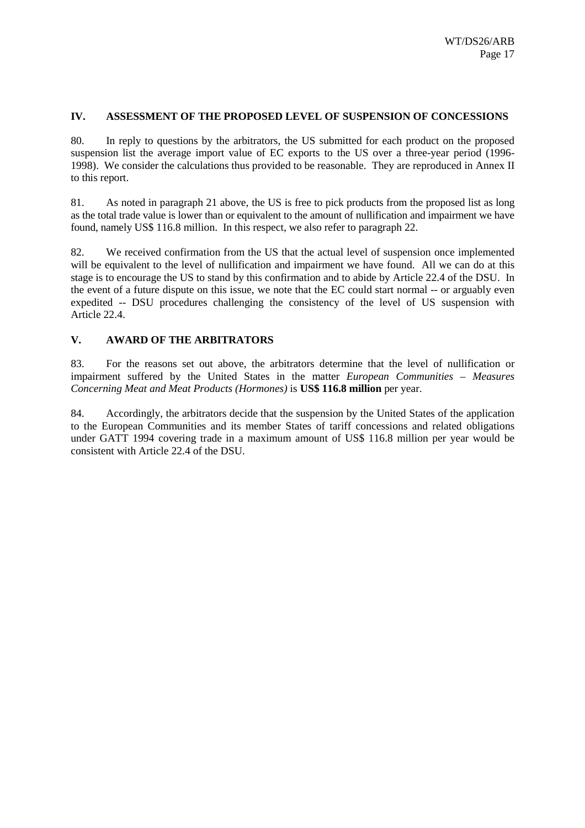#### **IV. ASSESSMENT OF THE PROPOSED LEVEL OF SUSPENSION OF CONCESSIONS**

80. In reply to questions by the arbitrators, the US submitted for each product on the proposed suspension list the average import value of EC exports to the US over a three-year period (1996- 1998). We consider the calculations thus provided to be reasonable. They are reproduced in Annex II to this report.

81. As noted in paragraph 21 above, the US is free to pick products from the proposed list as long as the total trade value is lower than or equivalent to the amount of nullification and impairment we have found, namely US\$ 116.8 million. In this respect, we also refer to paragraph 22.

82. We received confirmation from the US that the actual level of suspension once implemented will be equivalent to the level of nullification and impairment we have found. All we can do at this stage is to encourage the US to stand by this confirmation and to abide by Article 22.4 of the DSU. In the event of a future dispute on this issue, we note that the EC could start normal -- or arguably even expedited -- DSU procedures challenging the consistency of the level of US suspension with Article 22.4.

#### **V. AWARD OF THE ARBITRATORS**

83. For the reasons set out above, the arbitrators determine that the level of nullification or impairment suffered by the United States in the matter *European Communities – Measures Concerning Meat and Meat Products (Hormones)* is **US\$ 116.8 million** per year.

84. Accordingly, the arbitrators decide that the suspension by the United States of the application to the European Communities and its member States of tariff concessions and related obligations under GATT 1994 covering trade in a maximum amount of US\$ 116.8 million per year would be consistent with Article 22.4 of the DSU.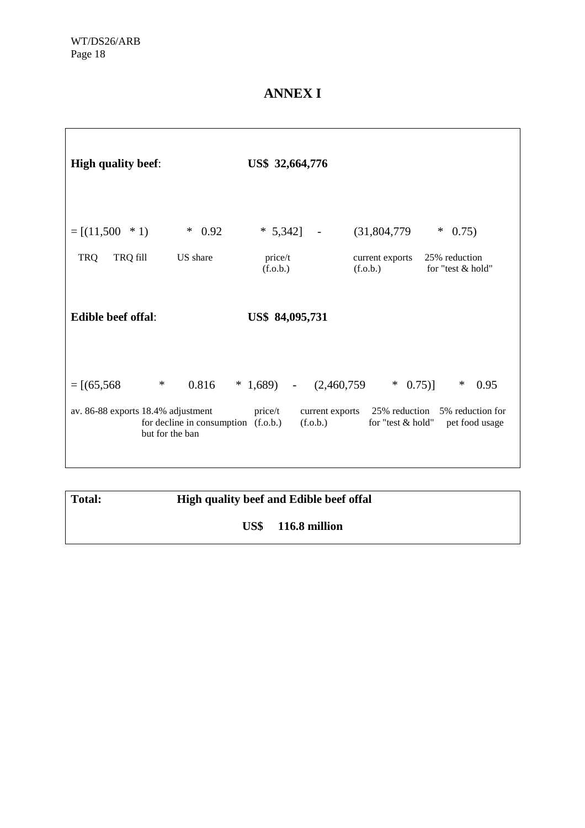$\mathsf{r}$ 

## **ANNEX I**

| <b>High quality beef:</b>                          |                           |                                              |                                     | US\$ 32,664,776             |                                             |                                                               |
|----------------------------------------------------|---------------------------|----------------------------------------------|-------------------------------------|-----------------------------|---------------------------------------------|---------------------------------------------------------------|
| $= [(11,500 * 1)$<br>TRQ fill<br><b>TRQ</b>        |                           | $*$ 0.92<br>US share                         | $*$ 5,342]<br>price/t<br>(f.o.b.)   | $\overline{\phantom{a}}$    | (31,804,779)<br>current exports<br>(f.o.b.) | 0.75)<br>$\ast$<br>25% reduction<br>for "test & hold"         |
| <b>Edible beef offal:</b>                          |                           |                                              |                                     | US\$ 84,095,731             |                                             |                                                               |
| $=[(65,568)$<br>av. 86-88 exports 18.4% adjustment | $\ast$<br>but for the ban | 0.816<br>for decline in consumption (f.o.b.) | $*1,689$ - $(2,460,759)$<br>price/t | current exports<br>(f.o.b.) | $*$ 0.75)]<br>for "test & hold"             | ∗<br>0.95<br>25% reduction 5% reduction for<br>pet food usage |

| <b>Total:</b> | High quality beef and Edible beef offal |
|---------------|-----------------------------------------|
|               |                                         |

**US\$ 116.8 million**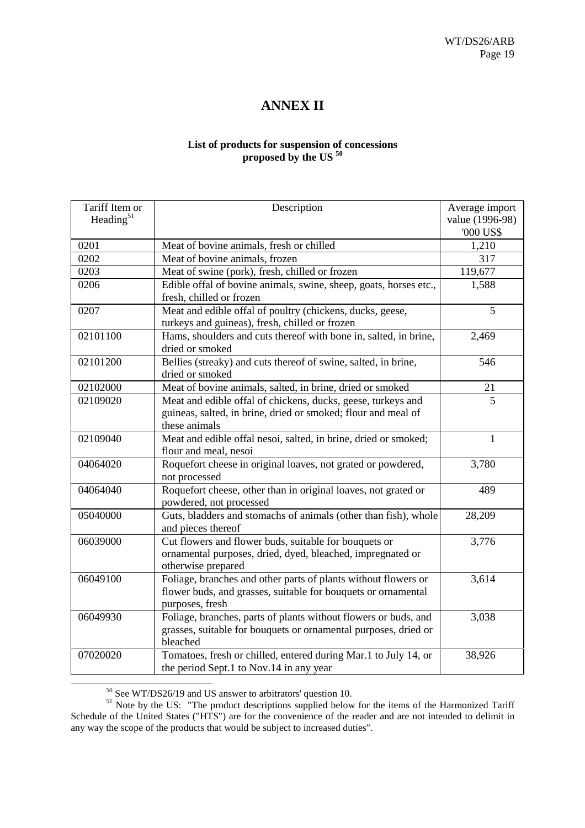# **ANNEX II**

#### **List of products for suspension of concessions proposed by the US <sup>50</sup>**

| Tariff Item or | Description                                                                                                                                        | Average import  |
|----------------|----------------------------------------------------------------------------------------------------------------------------------------------------|-----------------|
| Heading $51$   |                                                                                                                                                    | value (1996-98) |
|                |                                                                                                                                                    | '000 US\$       |
| 0201           | Meat of bovine animals, fresh or chilled                                                                                                           | 1,210           |
| 0202           | Meat of bovine animals, frozen                                                                                                                     | 317             |
| 0203           | Meat of swine (pork), fresh, chilled or frozen                                                                                                     | 119,677         |
| 0206           | Edible offal of bovine animals, swine, sheep, goats, horses etc.,<br>fresh, chilled or frozen                                                      | 1,588           |
| 0207           | Meat and edible offal of poultry (chickens, ducks, geese,<br>turkeys and guineas), fresh, chilled or frozen                                        | 5               |
| 02101100       | Hams, shoulders and cuts thereof with bone in, salted, in brine,<br>dried or smoked                                                                | 2,469           |
| 02101200       | Bellies (streaky) and cuts thereof of swine, salted, in brine,<br>dried or smoked                                                                  | 546             |
| 02102000       | Meat of bovine animals, salted, in brine, dried or smoked                                                                                          | 21              |
| 02109020       | Meat and edible offal of chickens, ducks, geese, turkeys and<br>guineas, salted, in brine, dried or smoked; flour and meal of<br>these animals     | 5               |
| 02109040       | Meat and edible offal nesoi, salted, in brine, dried or smoked;<br>flour and meal, nesoi                                                           | $\mathbf{1}$    |
| 04064020       | Roquefort cheese in original loaves, not grated or powdered,<br>not processed                                                                      | 3,780           |
| 04064040       | Roquefort cheese, other than in original loaves, not grated or<br>powdered, not processed                                                          | 489             |
| 05040000       | Guts, bladders and stomachs of animals (other than fish), whole<br>and pieces thereof                                                              | 28,209          |
| 06039000       | Cut flowers and flower buds, suitable for bouquets or<br>ornamental purposes, dried, dyed, bleached, impregnated or<br>otherwise prepared          | 3,776           |
| 06049100       | Foliage, branches and other parts of plants without flowers or<br>flower buds, and grasses, suitable for bouquets or ornamental<br>purposes, fresh | 3,614           |
| 06049930       | Foliage, branches, parts of plants without flowers or buds, and<br>grasses, suitable for bouquets or ornamental purposes, dried or<br>bleached     | 3,038           |
| 07020020       | Tomatoes, fresh or chilled, entered during Mar.1 to July 14, or<br>the period Sept.1 to Nov.14 in any year                                         | 38,926          |

<sup>50</sup> See WT/DS26/19 and US answer to arbitrators' question 10.

<sup>51</sup> Note by the US: "The product descriptions supplied below for the items of the Harmonized Tariff Schedule of the United States ("HTS") are for the convenience of the reader and are not intended to delimit in any way the scope of the products that would be subject to increased duties".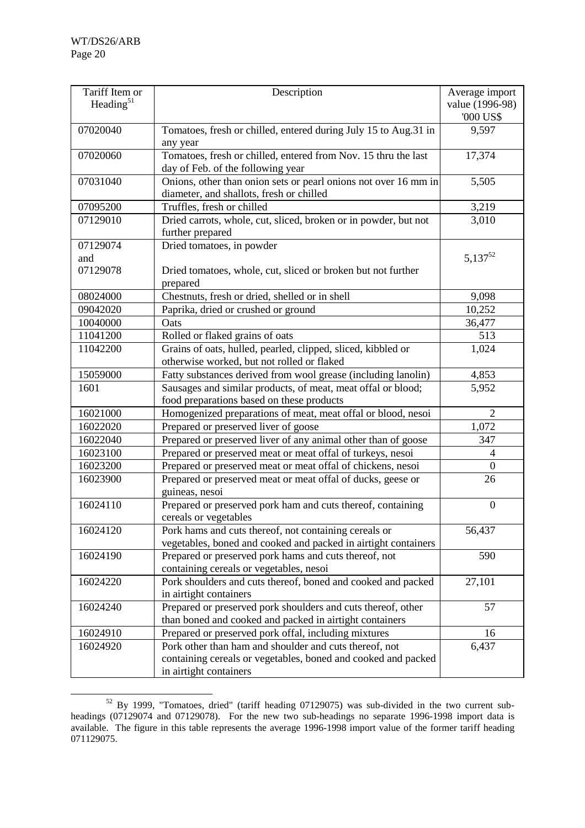| Tariff Item or<br>Heading <sup>51</sup> | Description                                                                                                                                       | Average import<br>value (1996-98)<br>'000 US\$ |
|-----------------------------------------|---------------------------------------------------------------------------------------------------------------------------------------------------|------------------------------------------------|
| 07020040                                | Tomatoes, fresh or chilled, entered during July 15 to Aug.31 in<br>any year                                                                       | 9,597                                          |
| 07020060                                | Tomatoes, fresh or chilled, entered from Nov. 15 thru the last<br>day of Feb. of the following year                                               | 17,374                                         |
| 07031040                                | Onions, other than onion sets or pearl onions not over 16 mm in<br>diameter, and shallots, fresh or chilled                                       | 5,505                                          |
| 07095200                                | Truffles, fresh or chilled                                                                                                                        | 3,219                                          |
| 07129010                                | Dried carrots, whole, cut, sliced, broken or in powder, but not<br>further prepared                                                               | 3,010                                          |
| 07129074<br>and                         | Dried tomatoes, in powder                                                                                                                         | $5,137^{52}$                                   |
| 07129078                                | Dried tomatoes, whole, cut, sliced or broken but not further<br>prepared                                                                          |                                                |
| 08024000                                | Chestnuts, fresh or dried, shelled or in shell                                                                                                    | 9,098                                          |
| 09042020                                | Paprika, dried or crushed or ground                                                                                                               | 10,252                                         |
| 10040000                                | Oats                                                                                                                                              | 36,477                                         |
| 11041200                                | Rolled or flaked grains of oats                                                                                                                   | 513                                            |
| 11042200                                | Grains of oats, hulled, pearled, clipped, sliced, kibbled or<br>otherwise worked, but not rolled or flaked                                        | 1,024                                          |
| 15059000                                | Fatty substances derived from wool grease (including lanolin)                                                                                     | 4,853                                          |
| 1601                                    | Sausages and similar products, of meat, meat offal or blood;<br>food preparations based on these products                                         | 5,952                                          |
| 16021000                                | Homogenized preparations of meat, meat offal or blood, nesoi                                                                                      | $\overline{2}$                                 |
| 16022020                                | Prepared or preserved liver of goose                                                                                                              | 1,072                                          |
| 16022040                                | Prepared or preserved liver of any animal other than of goose                                                                                     | 347                                            |
| 16023100                                | Prepared or preserved meat or meat offal of turkeys, nesoi                                                                                        | 4                                              |
| 16023200                                | Prepared or preserved meat or meat offal of chickens, nesoi                                                                                       | $\boldsymbol{0}$                               |
| 16023900                                | Prepared or preserved meat or meat offal of ducks, geese or<br>guineas, nesoi                                                                     | 26                                             |
| 16024110                                | Prepared or preserved pork ham and cuts thereof, containing<br>cereals or vegetables                                                              | $\mathbf{0}$                                   |
| 16024120                                | Pork hams and cuts thereof, not containing cereals or<br>vegetables, boned and cooked and packed in airtight containers                           | 56,437                                         |
| 16024190                                | Prepared or preserved pork hams and cuts thereof, not<br>containing cereals or vegetables, nesoi                                                  | 590                                            |
| 16024220                                | Pork shoulders and cuts thereof, boned and cooked and packed<br>in airtight containers                                                            | 27,101                                         |
| 16024240                                | Prepared or preserved pork shoulders and cuts thereof, other<br>than boned and cooked and packed in airtight containers                           | 57                                             |
| 16024910                                | Prepared or preserved pork offal, including mixtures                                                                                              | 16                                             |
| 16024920                                | Pork other than ham and shoulder and cuts thereof, not<br>containing cereals or vegetables, boned and cooked and packed<br>in airtight containers | 6,437                                          |

<sup>&</sup>lt;sup>52</sup> By 1999, "Tomatoes, dried" (tariff heading 07129075) was sub-divided in the two current subheadings (07129074 and 07129078). For the new two sub-headings no separate 1996-1998 import data is available. The figure in this table represents the average 1996-1998 import value of the former tariff heading 071129075.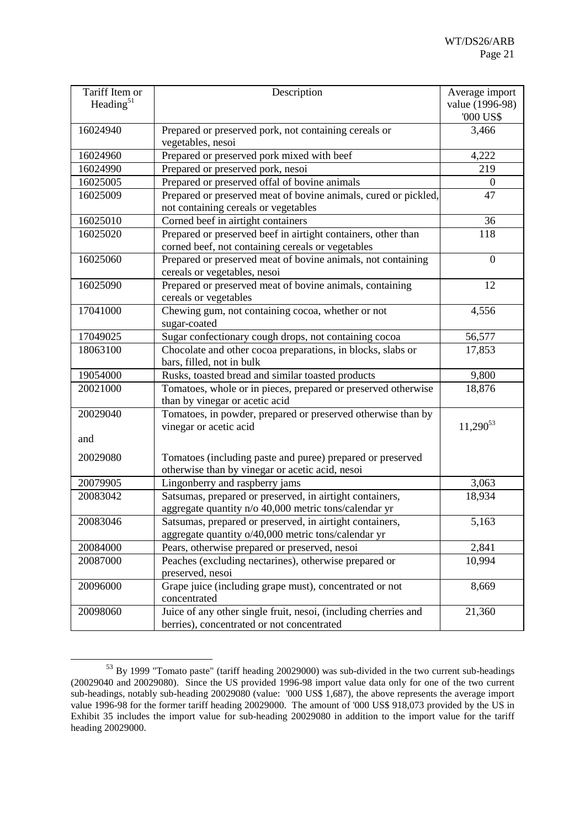| Tariff Item or<br>Heading $51$ | Description                                                                                                        | Average import<br>value (1996-98) |
|--------------------------------|--------------------------------------------------------------------------------------------------------------------|-----------------------------------|
|                                |                                                                                                                    | '000 US\$                         |
| 16024940                       | Prepared or preserved pork, not containing cereals or<br>vegetables, nesoi                                         | 3,466                             |
| 16024960                       | Prepared or preserved pork mixed with beef                                                                         | 4,222                             |
| 16024990                       | Prepared or preserved pork, nesoi                                                                                  | 219                               |
| 16025005                       | Prepared or preserved offal of bovine animals                                                                      | $\theta$                          |
| 16025009                       | Prepared or preserved meat of bovine animals, cured or pickled,<br>not containing cereals or vegetables            | 47                                |
| 16025010                       | Corned beef in airtight containers                                                                                 | 36                                |
| 16025020                       | Prepared or preserved beef in airtight containers, other than<br>corned beef, not containing cereals or vegetables | 118                               |
| 16025060                       | Prepared or preserved meat of bovine animals, not containing<br>cereals or vegetables, nesoi                       | $\Omega$                          |
| 16025090                       | Prepared or preserved meat of bovine animals, containing<br>cereals or vegetables                                  | 12                                |
| 17041000                       | Chewing gum, not containing cocoa, whether or not<br>sugar-coated                                                  | 4,556                             |
| 17049025                       | Sugar confectionary cough drops, not containing cocoa                                                              | 56,577                            |
| 18063100                       | Chocolate and other cocoa preparations, in blocks, slabs or<br>bars, filled, not in bulk                           | 17,853                            |
| 19054000                       | Rusks, toasted bread and similar toasted products                                                                  | 9,800                             |
| 20021000                       | Tomatoes, whole or in pieces, prepared or preserved otherwise<br>than by vinegar or acetic acid                    | 18,876                            |
| 20029040                       | Tomatoes, in powder, prepared or preserved otherwise than by<br>vinegar or acetic acid                             | $11,290^{53}$                     |
| and                            |                                                                                                                    |                                   |
| 20029080                       | Tomatoes (including paste and puree) prepared or preserved<br>otherwise than by vinegar or acetic acid, nesoi      |                                   |
| 20079905                       | Lingonberry and raspberry jams                                                                                     | 3,063                             |
| 20083042                       | Satsumas, prepared or preserved, in airtight containers,<br>aggregate quantity n/o 40,000 metric tons/calendar yr  | 18,934                            |
| 20083046                       | Satsumas, prepared or preserved, in airtight containers,<br>aggregate quantity o/40,000 metric tons/calendar yr    | 5,163                             |
| 20084000                       | Pears, otherwise prepared or preserved, nesoi                                                                      | 2,841                             |
| 20087000                       | Peaches (excluding nectarines), otherwise prepared or<br>preserved, nesoi                                          | 10,994                            |
| 20096000                       | Grape juice (including grape must), concentrated or not<br>concentrated                                            | 8,669                             |
| 20098060                       | Juice of any other single fruit, nesoi, (including cherries and<br>berries), concentrated or not concentrated      | 21,360                            |

 <sup>53</sup> By 1999 "Tomato paste" (tariff heading 20029000) was sub-divided in the two current sub-headings (20029040 and 20029080). Since the US provided 1996-98 import value data only for one of the two current sub-headings, notably sub-heading 20029080 (value: '000 US\$ 1,687), the above represents the average import value 1996-98 for the former tariff heading 20029000. The amount of '000 US\$ 918,073 provided by the US in Exhibit 35 includes the import value for sub-heading 20029080 in addition to the import value for the tariff heading 20029000.